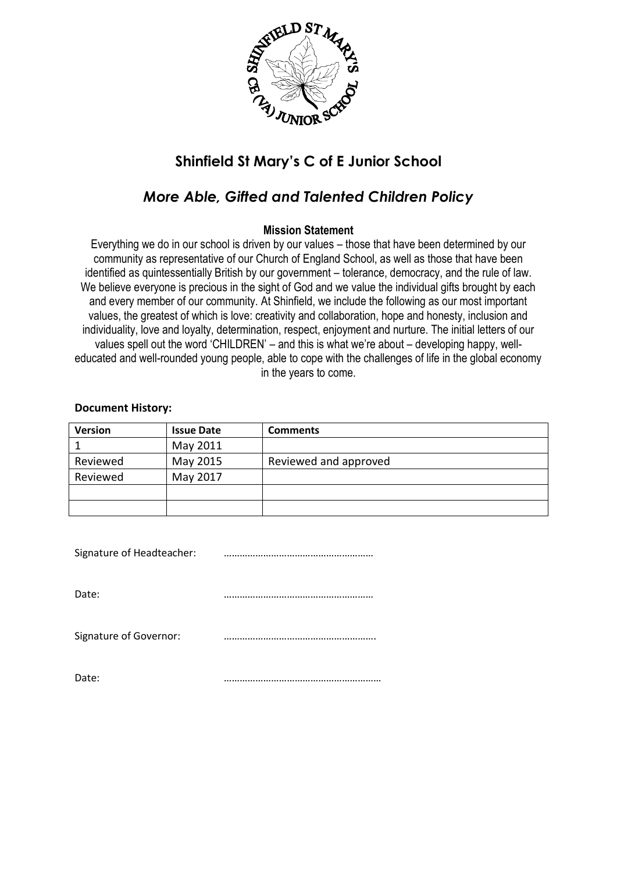

# **Shinfield St Mary's C of E Junior School**

# *More Able, Gifted and Talented Children Policy*

### **Mission Statement**

Everything we do in our school is driven by our values – those that have been determined by our community as representative of our Church of England School, as well as those that have been identified as quintessentially British by our government – tolerance, democracy, and the rule of law. We believe everyone is precious in the sight of God and we value the individual gifts brought by each and every member of our community. At Shinfield, we include the following as our most important values, the greatest of which is love: creativity and collaboration, hope and honesty, inclusion and individuality, love and loyalty, determination, respect, enjoyment and nurture. The initial letters of our values spell out the word 'CHILDREN' – and this is what we're about – developing happy, welleducated and well-rounded young people, able to cope with the challenges of life in the global economy in the years to come.

#### **Document History:**

| <b>Version</b> | <b>Issue Date</b> | <b>Comments</b>       |
|----------------|-------------------|-----------------------|
|                | May 2011          |                       |
| Reviewed       | May 2015          | Reviewed and approved |
| Reviewed       | May 2017          |                       |
|                |                   |                       |
|                |                   |                       |

| Signature of Headteacher: |  |
|---------------------------|--|
| Date:                     |  |
| Signature of Governor:    |  |
| Date:                     |  |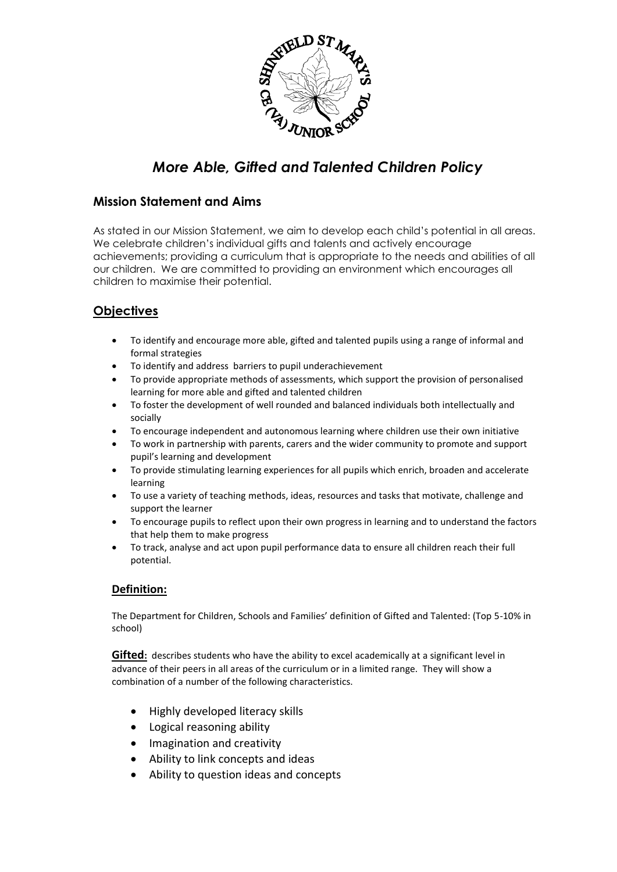

# *More Able, Gifted and Talented Children Policy*

## **Mission Statement and Aims**

As stated in our Mission Statement, we aim to develop each child's potential in all areas. We celebrate children's individual gifts and talents and actively encourage achievements; providing a curriculum that is appropriate to the needs and abilities of all our children. We are committed to providing an environment which encourages all children to maximise their potential.

# **Objectives**

- To identify and encourage more able, gifted and talented pupils using a range of informal and formal strategies
- To identify and address barriers to pupil underachievement
- To provide appropriate methods of assessments, which support the provision of personalised learning for more able and gifted and talented children
- To foster the development of well rounded and balanced individuals both intellectually and socially
- To encourage independent and autonomous learning where children use their own initiative
- To work in partnership with parents, carers and the wider community to promote and support pupil's learning and development
- To provide stimulating learning experiences for all pupils which enrich, broaden and accelerate learning
- To use a variety of teaching methods, ideas, resources and tasks that motivate, challenge and support the learner
- To encourage pupils to reflect upon their own progress in learning and to understand the factors that help them to make progress
- To track, analyse and act upon pupil performance data to ensure all children reach their full potential.

#### **Definition:**

The Department for Children, Schools and Families' definition of Gifted and Talented: (Top 5-10% in school)

**Gifted:** describes students who have the ability to excel academically at a significant level in advance of their peers in all areas of the curriculum or in a limited range. They will show a combination of a number of the following characteristics.

- Highly developed literacy skills
- Logical reasoning ability
- Imagination and creativity
- Ability to link concepts and ideas
- Ability to question ideas and concepts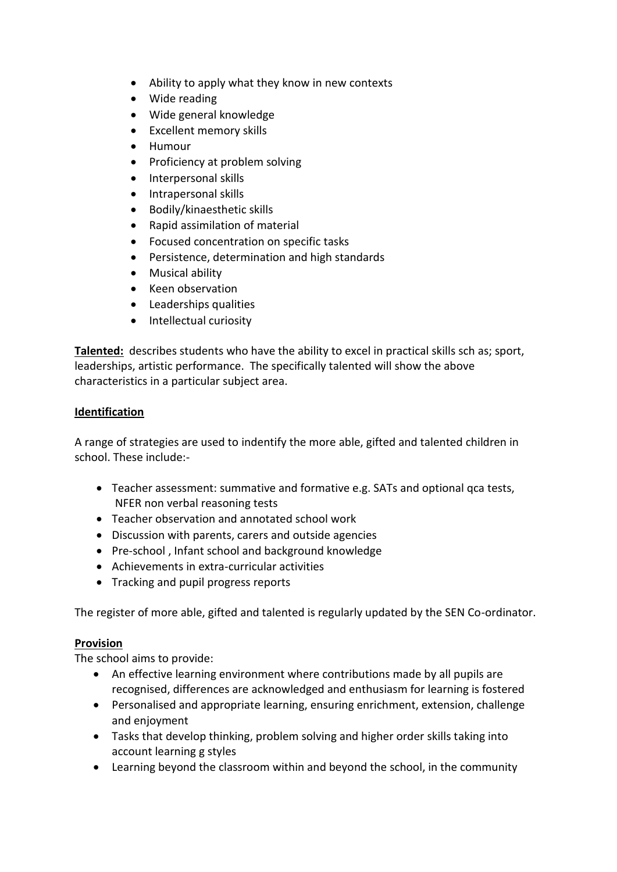- Ability to apply what they know in new contexts
- Wide reading
- Wide general knowledge
- Excellent memory skills
- Humour
- Proficiency at problem solving
- Interpersonal skills
- Intrapersonal skills
- Bodily/kinaesthetic skills
- Rapid assimilation of material
- Focused concentration on specific tasks
- Persistence, determination and high standards
- Musical ability
- Keen observation
- Leaderships qualities
- Intellectual curiosity

**Talented:** describes students who have the ability to excel in practical skills sch as; sport, leaderships, artistic performance. The specifically talented will show the above characteristics in a particular subject area.

### **Identification**

A range of strategies are used to indentify the more able, gifted and talented children in school. These include:-

- Teacher assessment: summative and formative e.g. SATs and optional qca tests, NFER non verbal reasoning tests
- Teacher observation and annotated school work
- Discussion with parents, carers and outside agencies
- Pre-school, Infant school and background knowledge
- Achievements in extra-curricular activities
- Tracking and pupil progress reports

The register of more able, gifted and talented is regularly updated by the SEN Co-ordinator.

#### **Provision**

The school aims to provide:

- An effective learning environment where contributions made by all pupils are recognised, differences are acknowledged and enthusiasm for learning is fostered
- Personalised and appropriate learning, ensuring enrichment, extension, challenge and enjoyment
- Tasks that develop thinking, problem solving and higher order skills taking into account learning g styles
- Learning beyond the classroom within and beyond the school, in the community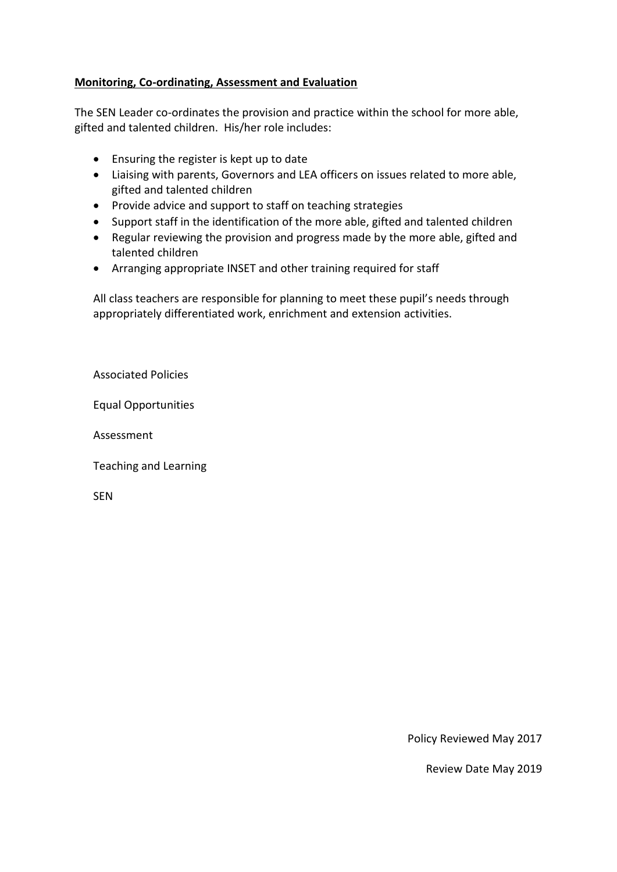## **Monitoring, Co-ordinating, Assessment and Evaluation**

The SEN Leader co-ordinates the provision and practice within the school for more able, gifted and talented children. His/her role includes:

- Ensuring the register is kept up to date
- Liaising with parents, Governors and LEA officers on issues related to more able, gifted and talented children
- Provide advice and support to staff on teaching strategies
- Support staff in the identification of the more able, gifted and talented children
- Regular reviewing the provision and progress made by the more able, gifted and talented children
- Arranging appropriate INSET and other training required for staff

All class teachers are responsible for planning to meet these pupil's needs through appropriately differentiated work, enrichment and extension activities.

Associated Policies

Equal Opportunities

Assessment

Teaching and Learning

SEN

Policy Reviewed May 2017

Review Date May 2019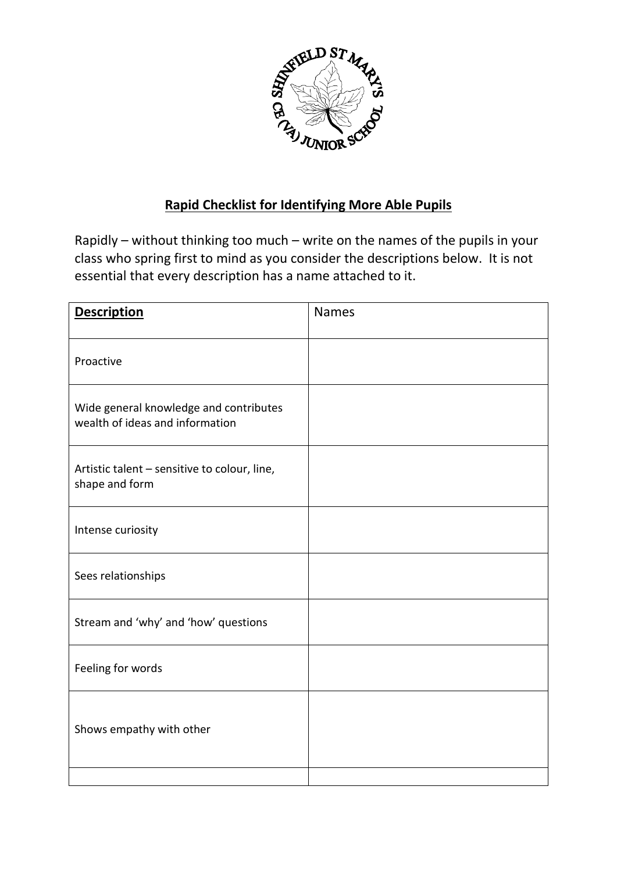

# **Rapid Checklist for Identifying More Able Pupils**

Rapidly – without thinking too much – write on the names of the pupils in your class who spring first to mind as you consider the descriptions below. It is not essential that every description has a name attached to it.

| <b>Description</b>                                                        | <b>Names</b> |
|---------------------------------------------------------------------------|--------------|
| Proactive                                                                 |              |
| Wide general knowledge and contributes<br>wealth of ideas and information |              |
| Artistic talent - sensitive to colour, line,<br>shape and form            |              |
| Intense curiosity                                                         |              |
| Sees relationships                                                        |              |
| Stream and 'why' and 'how' questions                                      |              |
| Feeling for words                                                         |              |
| Shows empathy with other                                                  |              |
|                                                                           |              |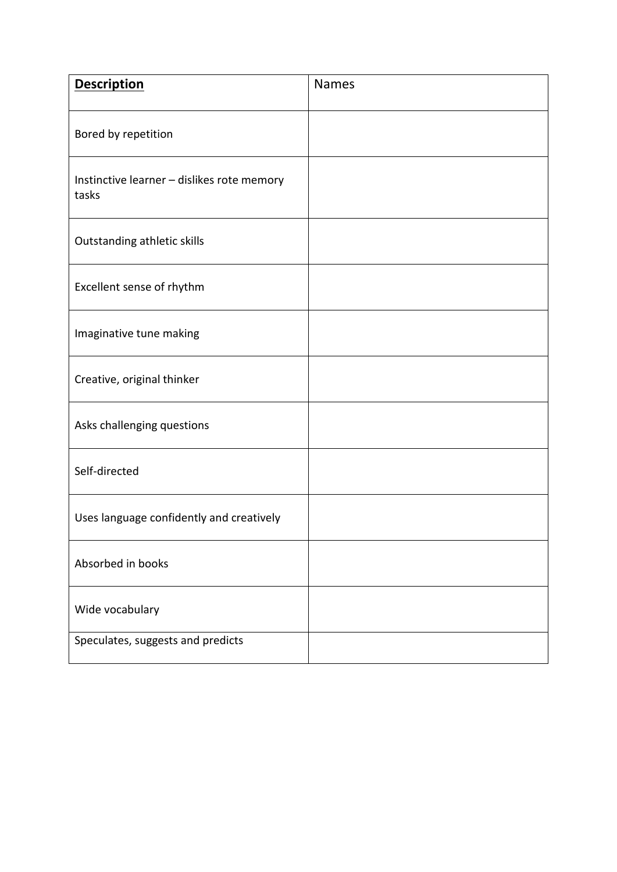| <b>Description</b>                                  | <b>Names</b> |
|-----------------------------------------------------|--------------|
| Bored by repetition                                 |              |
| Instinctive learner - dislikes rote memory<br>tasks |              |
| Outstanding athletic skills                         |              |
| Excellent sense of rhythm                           |              |
| Imaginative tune making                             |              |
| Creative, original thinker                          |              |
| Asks challenging questions                          |              |
| Self-directed                                       |              |
| Uses language confidently and creatively            |              |
| Absorbed in books                                   |              |
| Wide vocabulary                                     |              |
| Speculates, suggests and predicts                   |              |